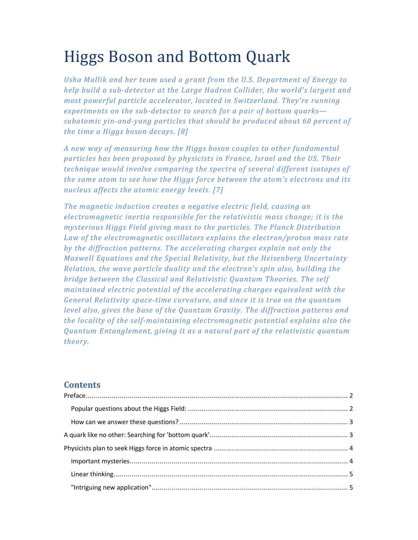# Higgs Boson and Bottom Quark

*Usha Mallik and her team used a grant from the U.S. Department of Energy to help build a sub-detector at the Large Hadron Collider, the world's largest and most powerful particle accelerator, located in Switzerland. They're running experiments on the sub-detector to search for a pair of bottom quarks subatomic yin-and-yang particles that should be produced about 60 percent of the time a Higgs boson decays. [8]* 

*A new way of measuring how the Higgs boson couples to other fundamental particles has been proposed by physicists in France, Israel and the US. Their technique would involve comparing the spectra of several different isotopes of the same atom to see how the Higgs force between the atom's electrons and its nucleus affects the atomic energy levels. [7]* 

*The magnetic induction creates a negative electric field, causing an electromagnetic inertia responsible for the relativistic mass change; it is the mysterious Higgs Field giving mass to the particles. The Planck Distribution Law of the electromagnetic oscillators explains the electron/proton mass rate by the diffraction patterns. The accelerating charges explain not only the Maxwell Equations and the Special Relativity, but the Heisenberg Uncertainty Relation, the wave particle duality and the electron's spin also, building the bridge between the Classical and Relativistic Quantum Theories. The self maintained electric potential of the accelerating charges equivalent with the General Relativity space-time curvature, and since it is true on the quantum level also, gives the base of the Quantum Gravity. The diffraction patterns and the locality of the self-maintaining electromagnetic potential explains also the Quantum Entanglement, giving it as a natural part of the relativistic quantum theory.* 

# **Contents**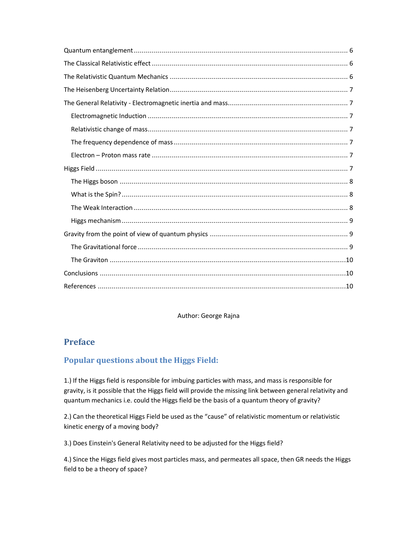#### Author: George Rajna

# **Preface**

# **Popular questions about the Higgs Field:**

1.) If the Higgs field is responsible for imbuing particles with mass, and mass is responsible for gravity, is it possible that the Higgs field will provide the missing link between general relativity and quantum mechanics i.e. could the Higgs field be the basis of a quantum theory of gravity?

2.) Can the theoretical Higgs Field be used as the "cause" of relativistic momentum or relativistic kinetic energy of a moving body?

3.) Does Einstein's General Relativity need to be adjusted for the Higgs field?

4.) Since the Higgs field gives most particles mass, and permeates all space, then GR needs the Higgs field to be a theory of space?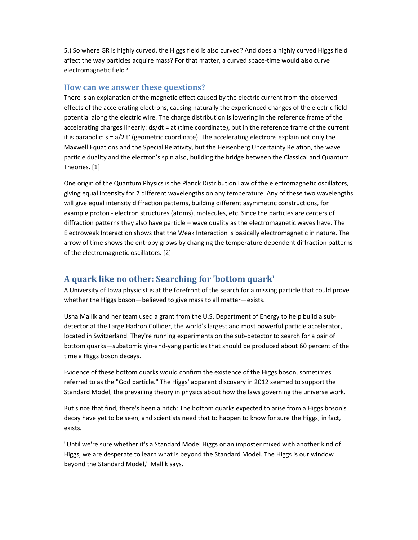5.) So where GR is highly curved, the Higgs field is also curved? And does a highly curved Higgs field affect the way particles acquire mass? For that matter, a curved space-time would also curve electromagnetic field?

#### **How can we answer these questions?**

There is an explanation of the magnetic effect caused by the electric current from the observed effects of the accelerating electrons, causing naturally the experienced changes of the electric field potential along the electric wire. The charge distribution is lowering in the reference frame of the accelerating charges linearly: ds/dt = at (time coordinate), but in the reference frame of the current it is parabolic:  $s = a/2 t^2$  (geometric coordinate). The accelerating electrons explain not only the Maxwell Equations and the Special Relativity, but the Heisenberg Uncertainty Relation, the wave particle duality and the electron's spin also, building the bridge between the Classical and Quantum Theories. [1]

One origin of the Quantum Physics is the Planck Distribution Law of the electromagnetic oscillators, giving equal intensity for 2 different wavelengths on any temperature. Any of these two wavelengths will give equal intensity diffraction patterns, building different asymmetric constructions, for example proton - electron structures (atoms), molecules, etc. Since the particles are centers of diffraction patterns they also have particle – wave duality as the electromagnetic waves have. The Electroweak Interaction shows that the Weak Interaction is basically electromagnetic in nature. The arrow of time shows the entropy grows by changing the temperature dependent diffraction patterns of the electromagnetic oscillators. [2]

# **A quark like no other: Searching for 'bottom quark'**

A University of Iowa physicist is at the forefront of the search for a missing particle that could prove whether the Higgs boson—believed to give mass to all matter—exists.

Usha Mallik and her team used a grant from the U.S. Department of Energy to help build a subdetector at the Large Hadron Collider, the world's largest and most powerful particle accelerator, located in Switzerland. They're running experiments on the sub-detector to search for a pair of bottom quarks—subatomic yin-and-yang particles that should be produced about 60 percent of the time a Higgs boson decays.

Evidence of these bottom quarks would confirm the existence of the Higgs boson, sometimes referred to as the "God particle." The Higgs' apparent discovery in 2012 seemed to support the Standard Model, the prevailing theory in physics about how the laws governing the universe work.

But since that find, there's been a hitch: The bottom quarks expected to arise from a Higgs boson's decay have yet to be seen, and scientists need that to happen to know for sure the Higgs, in fact, exists.

"Until we're sure whether it's a Standard Model Higgs or an imposter mixed with another kind of Higgs, we are desperate to learn what is beyond the Standard Model. The Higgs is our window beyond the Standard Model," Mallik says.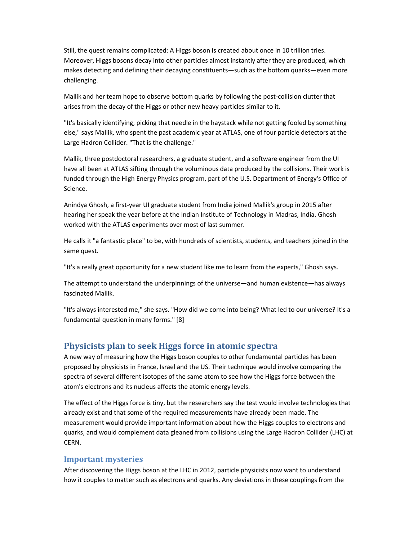Still, the quest remains complicated: A Higgs boson is created about once in 10 trillion tries. Moreover, Higgs bosons decay into other particles almost instantly after they are produced, which makes detecting and defining their decaying constituents—such as the bottom quarks—even more challenging.

Mallik and her team hope to observe bottom quarks by following the post-collision clutter that arises from the decay of the Higgs or other new heavy particles similar to it.

"It's basically identifying, picking that needle in the haystack while not getting fooled by something else," says Mallik, who spent the past academic year at ATLAS, one of four particle detectors at the Large Hadron Collider. "That is the challenge."

Mallik, three postdoctoral researchers, a graduate student, and a software engineer from the UI have all been at ATLAS sifting through the voluminous data produced by the collisions. Their work is funded through the High Energy Physics program, part of the U.S. Department of Energy's Office of Science.

Anindya Ghosh, a first-year UI graduate student from India joined Mallik's group in 2015 after hearing her speak the year before at the Indian Institute of Technology in Madras, India. Ghosh worked with the ATLAS experiments over most of last summer.

He calls it "a fantastic place" to be, with hundreds of scientists, students, and teachers joined in the same quest.

"It's a really great opportunity for a new student like me to learn from the experts," Ghosh says.

The attempt to understand the underpinnings of the universe—and human existence—has always fascinated Mallik.

"It's always interested me," she says. "How did we come into being? What led to our universe? It's a fundamental question in many forms." [8]

# **Physicists plan to seek Higgs force in atomic spectra**

A new way of measuring how the Higgs boson couples to other fundamental particles has been proposed by physicists in France, Israel and the US. Their technique would involve comparing the spectra of several different isotopes of the same atom to see how the Higgs force between the atom's electrons and its nucleus affects the atomic energy levels.

The effect of the Higgs force is tiny, but the researchers say the test would involve technologies that already exist and that some of the required measurements have already been made. The measurement would provide important information about how the Higgs couples to electrons and quarks, and would complement data gleaned from collisions using the Large Hadron Collider (LHC) at CERN.

#### **Important mysteries**

After discovering the Higgs boson at the LHC in 2012, particle physicists now want to understand how it couples to matter such as electrons and quarks. Any deviations in these couplings from the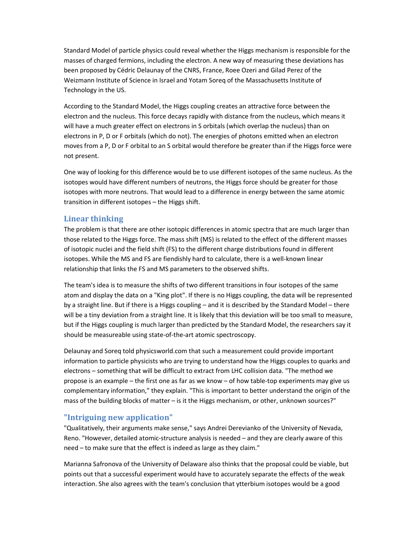Standard Model of particle physics could reveal whether the Higgs mechanism is responsible for the masses of charged fermions, including the electron. A new way of measuring these deviations has been proposed by Cédric Delaunay of the CNRS, France, Roee Ozeri and Gilad Perez of the Weizmann Institute of Science in Israel and Yotam Soreq of the Massachusetts Institute of Technology in the US.

According to the Standard Model, the Higgs coupling creates an attractive force between the electron and the nucleus. This force decays rapidly with distance from the nucleus, which means it will have a much greater effect on electrons in S orbitals (which overlap the nucleus) than on electrons in P, D or F orbitals (which do not). The energies of photons emitted when an electron moves from a P, D or F orbital to an S orbital would therefore be greater than if the Higgs force were not present.

One way of looking for this difference would be to use different isotopes of the same nucleus. As the isotopes would have different numbers of neutrons, the Higgs force should be greater for those isotopes with more neutrons. That would lead to a difference in energy between the same atomic transition in different isotopes – the Higgs shift.

#### **Linear thinking**

The problem is that there are other isotopic differences in atomic spectra that are much larger than those related to the Higgs force. The mass shift (MS) is related to the effect of the different masses of isotopic nuclei and the field shift (FS) to the different charge distributions found in different isotopes. While the MS and FS are fiendishly hard to calculate, there is a well-known linear relationship that links the FS and MS parameters to the observed shifts.

The team's idea is to measure the shifts of two different transitions in four isotopes of the same atom and display the data on a "King plot". If there is no Higgs coupling, the data will be represented by a straight line. But if there is a Higgs coupling – and it is described by the Standard Model – there will be a tiny deviation from a straight line. It is likely that this deviation will be too small to measure, but if the Higgs coupling is much larger than predicted by the Standard Model, the researchers say it should be measureable using state-of-the-art atomic spectroscopy.

Delaunay and Soreq told physicsworld.com that such a measurement could provide important information to particle physicists who are trying to understand how the Higgs couples to quarks and electrons – something that will be difficult to extract from LHC collision data. "The method we propose is an example – the first one as far as we know – of how table-top experiments may give us complementary information," they explain. "This is important to better understand the origin of the mass of the building blocks of matter – is it the Higgs mechanism, or other, unknown sources?"

# **"Intriguing new application"**

"Qualitatively, their arguments make sense," says Andrei Derevianko of the University of Nevada, Reno. "However, detailed atomic-structure analysis is needed – and they are clearly aware of this need – to make sure that the effect is indeed as large as they claim."

Marianna Safronova of the University of Delaware also thinks that the proposal could be viable, but points out that a successful experiment would have to accurately separate the effects of the weak interaction. She also agrees with the team's conclusion that ytterbium isotopes would be a good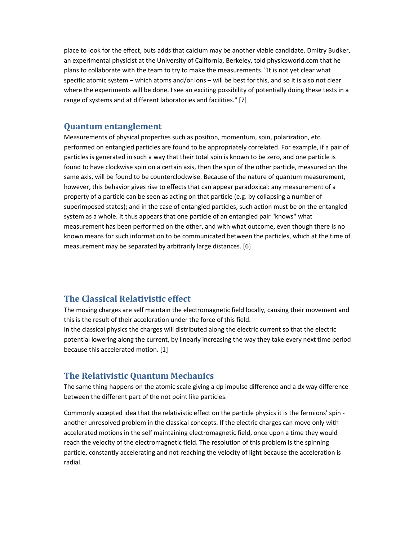place to look for the effect, buts adds that calcium may be another viable candidate. Dmitry Budker, an experimental physicist at the University of California, Berkeley, told physicsworld.com that he plans to collaborate with the team to try to make the measurements. "It is not yet clear what specific atomic system – which atoms and/or ions – will be best for this, and so it is also not clear where the experiments will be done. I see an exciting possibility of potentially doing these tests in a range of systems and at different laboratories and facilities." [7]

#### **Quantum entanglement**

Measurements of physical properties such as position, momentum, spin, polarization, etc. performed on entangled particles are found to be appropriately correlated. For example, if a pair of particles is generated in such a way that their total spin is known to be zero, and one particle is found to have clockwise spin on a certain axis, then the spin of the other particle, measured on the same axis, will be found to be counterclockwise. Because of the nature of quantum measurement, however, this behavior gives rise to effects that can appear paradoxical: any measurement of a property of a particle can be seen as acting on that particle (e.g. by collapsing a number of superimposed states); and in the case of entangled particles, such action must be on the entangled system as a whole. It thus appears that one particle of an entangled pair "knows" what measurement has been performed on the other, and with what outcome, even though there is no known means for such information to be communicated between the particles, which at the time of measurement may be separated by arbitrarily large distances. [6]

# **The Classical Relativistic effect**

The moving charges are self maintain the electromagnetic field locally, causing their movement and this is the result of their acceleration under the force of this field.

In the classical physics the charges will distributed along the electric current so that the electric potential lowering along the current, by linearly increasing the way they take every next time period because this accelerated motion. [1]

# **The Relativistic Quantum Mechanics**

The same thing happens on the atomic scale giving a dp impulse difference and a dx way difference between the different part of the not point like particles.

Commonly accepted idea that the relativistic effect on the particle physics it is the fermions' spin another unresolved problem in the classical concepts. If the electric charges can move only with accelerated motions in the self maintaining electromagnetic field, once upon a time they would reach the velocity of the electromagnetic field. The resolution of this problem is the spinning particle, constantly accelerating and not reaching the velocity of light because the acceleration is radial.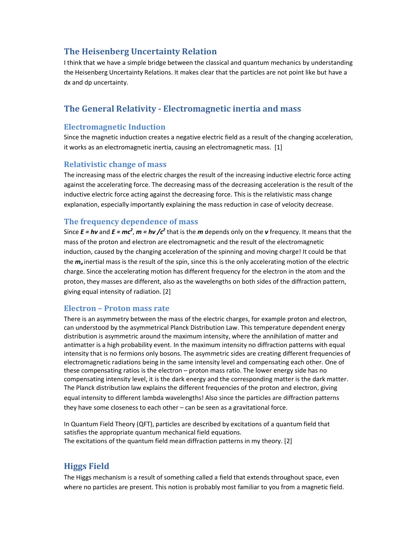# **The Heisenberg Uncertainty Relation**

I think that we have a simple bridge between the classical and quantum mechanics by understanding the Heisenberg Uncertainty Relations. It makes clear that the particles are not point like but have a dx and dp uncertainty.

# **The General Relativity - Electromagnetic inertia and mass**

#### **Electromagnetic Induction**

Since the magnetic induction creates a negative electric field as a result of the changing acceleration, it works as an electromagnetic inertia, causing an electromagnetic mass. [1]

# **Relativistic change of mass**

The increasing mass of the electric charges the result of the increasing inductive electric force acting against the accelerating force. The decreasing mass of the decreasing acceleration is the result of the inductive electric force acting against the decreasing force. This is the relativistic mass change explanation, especially importantly explaining the mass reduction in case of velocity decrease.

# **The frequency dependence of mass**

Since  $E = h\nu$  and  $E = mc^2$ ,  $m = h\nu$  / $c^2$  that is the *m* depends only on the *v* frequency. It means that the mass of the proton and electron are electromagnetic and the result of the electromagnetic induction, caused by the changing acceleration of the spinning and moving charge! It could be that the *m<sup>o</sup>* inertial mass is the result of the spin, since this is the only accelerating motion of the electric charge. Since the accelerating motion has different frequency for the electron in the atom and the proton, they masses are different, also as the wavelengths on both sides of the diffraction pattern, giving equal intensity of radiation. [2]

#### **Electron – Proton mass rate**

There is an asymmetry between the mass of the electric charges, for example proton and electron, can understood by the asymmetrical Planck Distribution Law. This temperature dependent energy distribution is asymmetric around the maximum intensity, where the annihilation of matter and antimatter is a high probability event. In the maximum intensity no diffraction patterns with equal intensity that is no fermions only bosons. The asymmetric sides are creating different frequencies of electromagnetic radiations being in the same intensity level and compensating each other. One of these compensating ratios is the electron – proton mass ratio. The lower energy side has no compensating intensity level, it is the dark energy and the corresponding matter is the dark matter. The Planck distribution law explains the different frequencies of the proton and electron, giving equal intensity to different lambda wavelengths! Also since the particles are diffraction patterns they have some closeness to each other – can be seen as a gravitational force.

In Quantum Field Theory (QFT), particles are described by excitations of a quantum field that satisfies the appropriate quantum mechanical field equations. The excitations of the quantum field mean diffraction patterns in my theory. [2]

# **Higgs Field**

The Higgs mechanism is a result of something called a field that extends throughout space, even where no particles are present. This notion is probably most familiar to you from a magnetic field.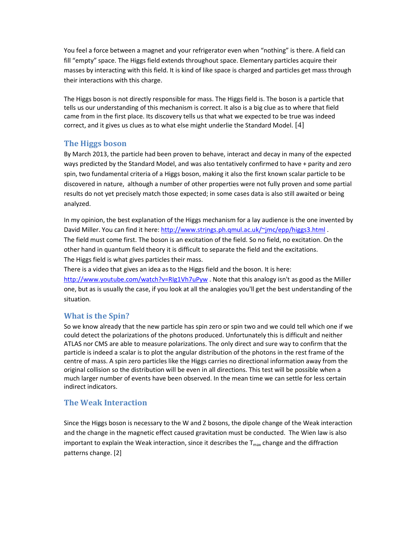You feel a force between a magnet and your refrigerator even when "nothing" is there. A field can fill "empty" space. The Higgs field extends throughout space. Elementary particles acquire their masses by interacting with this field. It is kind of like space is charged and particles get mass through their interactions with this charge.

The Higgs boson is not directly responsible for mass. The Higgs field is. The boson is a particle that tells us our understanding of this mechanism is correct. It also is a big clue as to where that field came from in the first place. Its discovery tells us that what we expected to be true was indeed correct, and it gives us clues as to what else might underlie the Standard Model. [4]

#### **The Higgs boson**

By March 2013, the particle had been proven to behave, interact and decay in many of the expected ways predicted by the Standard Model, and was also tentatively confirmed to have + parity and zero spin, two fundamental criteria of a Higgs boson, making it also the first known scalar particle to be discovered in nature, although a number of other properties were not fully proven and some partial results do not yet precisely match those expected; in some cases data is also still awaited or being analyzed.

In my opinion, the best explanation of the Higgs mechanism for a lay audience is the one invented by David Miller. You can find it here: http://www.strings.ph.qmul.ac.uk/~jmc/epp/higgs3.html . The field must come first. The boson is an excitation of the field. So no field, no excitation. On the other hand in quantum field theory it is difficult to separate the field and the excitations. The Higgs field is what gives particles their mass.

There is a video that gives an idea as to the Higgs field and the boson. It is here: http://www.youtube.com/watch?v=RIg1Vh7uPyw . Note that this analogy isn't as good as the Miller one, but as is usually the case, if you look at all the analogies you'll get the best understanding of the situation.

# **What is the Spin?**

So we know already that the new particle has spin zero or spin two and we could tell which one if we could detect the polarizations of the photons produced. Unfortunately this is difficult and neither ATLAS nor CMS are able to measure polarizations. The only direct and sure way to confirm that the particle is indeed a scalar is to plot the angular distribution of the photons in the rest frame of the centre of mass. A spin zero particles like the Higgs carries no directional information away from the original collision so the distribution will be even in all directions. This test will be possible when a much larger number of events have been observed. In the mean time we can settle for less certain indirect indicators.

# **The Weak Interaction**

Since the Higgs boson is necessary to the W and Z bosons, the dipole change of the Weak interaction and the change in the magnetic effect caused gravitation must be conducted. The Wien law is also important to explain the Weak interaction, since it describes the  $T_{\text{max}}$  change and the diffraction patterns change. [2]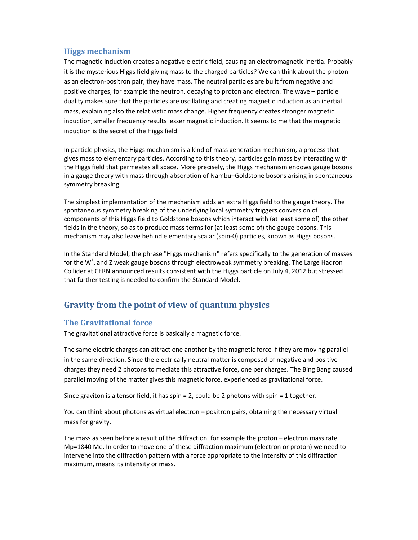# **Higgs mechanism**

The magnetic induction creates a negative electric field, causing an electromagnetic inertia. Probably it is the mysterious Higgs field giving mass to the charged particles? We can think about the photon as an electron-positron pair, they have mass. The neutral particles are built from negative and positive charges, for example the neutron, decaying to proton and electron. The wave – particle duality makes sure that the particles are oscillating and creating magnetic induction as an inertial mass, explaining also the relativistic mass change. Higher frequency creates stronger magnetic induction, smaller frequency results lesser magnetic induction. It seems to me that the magnetic induction is the secret of the Higgs field.

In particle physics, the Higgs mechanism is a kind of mass generation mechanism, a process that gives mass to elementary particles. According to this theory, particles gain mass by interacting with the Higgs field that permeates all space. More precisely, the Higgs mechanism endows gauge bosons in a gauge theory with mass through absorption of Nambu–Goldstone bosons arising in spontaneous symmetry breaking.

The simplest implementation of the mechanism adds an extra Higgs field to the gauge theory. The spontaneous symmetry breaking of the underlying local symmetry triggers conversion of components of this Higgs field to Goldstone bosons which interact with (at least some of) the other fields in the theory, so as to produce mass terms for (at least some of) the gauge bosons. This mechanism may also leave behind elementary scalar (spin-0) particles, known as Higgs bosons.

In the Standard Model, the phrase "Higgs mechanism" refers specifically to the generation of masses for the W<sup>±</sup>, and Z weak gauge bosons through electroweak symmetry breaking. The Large Hadron Collider at CERN announced results consistent with the Higgs particle on July 4, 2012 but stressed that further testing is needed to confirm the Standard Model.

# **Gravity from the point of view of quantum physics**

# **The Gravitational force**

The gravitational attractive force is basically a magnetic force.

The same electric charges can attract one another by the magnetic force if they are moving parallel in the same direction. Since the electrically neutral matter is composed of negative and positive charges they need 2 photons to mediate this attractive force, one per charges. The Bing Bang caused parallel moving of the matter gives this magnetic force, experienced as gravitational force.

Since graviton is a tensor field, it has spin  $= 2$ , could be 2 photons with spin  $= 1$  together.

You can think about photons as virtual electron – positron pairs, obtaining the necessary virtual mass for gravity.

The mass as seen before a result of the diffraction, for example the proton – electron mass rate Mp=1840 Me. In order to move one of these diffraction maximum (electron or proton) we need to intervene into the diffraction pattern with a force appropriate to the intensity of this diffraction maximum, means its intensity or mass.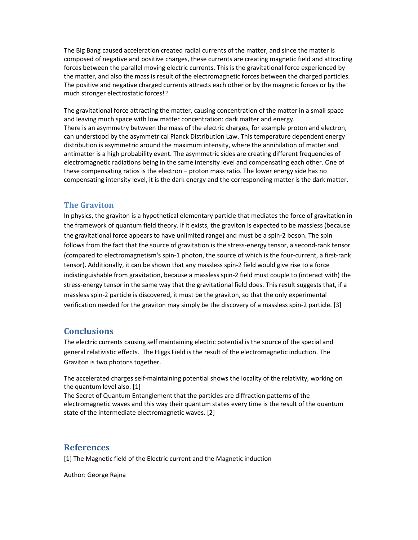The Big Bang caused acceleration created radial currents of the matter, and since the matter is composed of negative and positive charges, these currents are creating magnetic field and attracting forces between the parallel moving electric currents. This is the gravitational force experienced by the matter, and also the mass is result of the electromagnetic forces between the charged particles. The positive and negative charged currents attracts each other or by the magnetic forces or by the much stronger electrostatic forces!?

The gravitational force attracting the matter, causing concentration of the matter in a small space and leaving much space with low matter concentration: dark matter and energy. There is an asymmetry between the mass of the electric charges, for example proton and electron, can understood by the asymmetrical Planck Distribution Law. This temperature dependent energy distribution is asymmetric around the maximum intensity, where the annihilation of matter and antimatter is a high probability event. The asymmetric sides are creating different frequencies of electromagnetic radiations being in the same intensity level and compensating each other. One of these compensating ratios is the electron – proton mass ratio. The lower energy side has no compensating intensity level, it is the dark energy and the corresponding matter is the dark matter.

#### **The Graviton**

In physics, the graviton is a hypothetical elementary particle that mediates the force of gravitation in the framework of quantum field theory. If it exists, the graviton is expected to be massless (because the gravitational force appears to have unlimited range) and must be a spin-2 boson. The spin follows from the fact that the source of gravitation is the stress-energy tensor, a second-rank tensor (compared to electromagnetism's spin-1 photon, the source of which is the four-current, a first-rank tensor). Additionally, it can be shown that any massless spin-2 field would give rise to a force indistinguishable from gravitation, because a massless spin-2 field must couple to (interact with) the stress-energy tensor in the same way that the gravitational field does. This result suggests that, if a massless spin-2 particle is discovered, it must be the graviton, so that the only experimental verification needed for the graviton may simply be the discovery of a massless spin-2 particle. [3]

# **Conclusions**

The electric currents causing self maintaining electric potential is the source of the special and general relativistic effects. The Higgs Field is the result of the electromagnetic induction. The Graviton is two photons together.

The accelerated charges self-maintaining potential shows the locality of the relativity, working on the quantum level also. [1]

The Secret of Quantum Entanglement that the particles are diffraction patterns of the electromagnetic waves and this way their quantum states every time is the result of the quantum state of the intermediate electromagnetic waves. [2]

# **References**

[1] The Magnetic field of the Electric current and the Magnetic induction

Author: George Rajna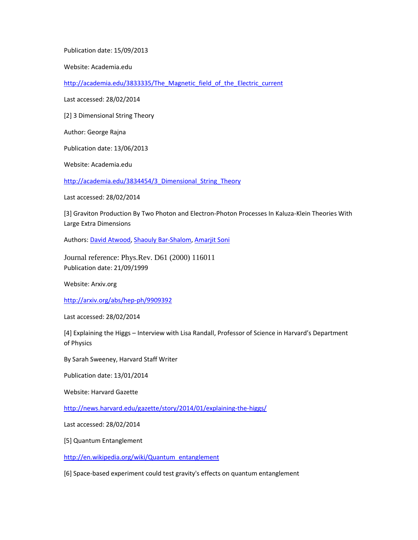Publication date: 15/09/2013

Website: Academia.edu

http://academia.edu/3833335/The\_Magnetic\_field\_of\_the\_Electric\_current

Last accessed: 28/02/2014

[2] 3 Dimensional String Theory

Author: George Rajna

Publication date: 13/06/2013

Website: Academia.edu

http://academia.edu/3834454/3 Dimensional String Theory

Last accessed: 28/02/2014

[3] Graviton Production By Two Photon and Electron-Photon Processes In Kaluza-Klein Theories With Large Extra Dimensions

Authors: David Atwood, Shaouly Bar-Shalom, Amarjit Soni

Journal reference: Phys.Rev. D61 (2000) 116011 Publication date: 21/09/1999

Website: Arxiv.org

http://arxiv.org/abs/hep-ph/9909392

Last accessed: 28/02/2014

[4] Explaining the Higgs – Interview with Lisa Randall, Professor of Science in Harvard's Department of Physics

By Sarah Sweeney, Harvard Staff Writer

Publication date: 13/01/2014

Website: Harvard Gazette

http://news.harvard.edu/gazette/story/2014/01/explaining-the-higgs/

Last accessed: 28/02/2014

[5] Quantum Entanglement

http://en.wikipedia.org/wiki/Quantum\_entanglement

[6] Space-based experiment could test gravity's effects on quantum entanglement